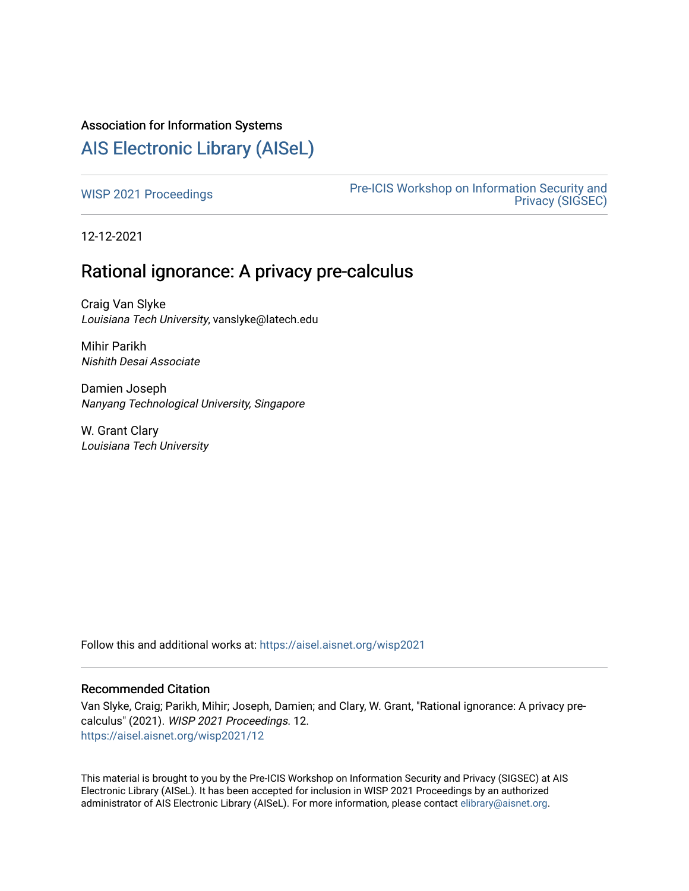# Association for Information Systems

# [AIS Electronic Library \(AISeL\)](https://aisel.aisnet.org/)

[WISP 2021 Proceedings](https://aisel.aisnet.org/wisp2021) **Pre-ICIS Workshop on Information Security and** [Privacy \(SIGSEC\)](https://aisel.aisnet.org/sigsec) 

12-12-2021

# Rational ignorance: A privacy pre-calculus

Craig Van Slyke Louisiana Tech University, vanslyke@latech.edu

Mihir Parikh Nishith Desai Associate

Damien Joseph Nanyang Technological University, Singapore

W. Grant Clary Louisiana Tech University

Follow this and additional works at: [https://aisel.aisnet.org/wisp2021](https://aisel.aisnet.org/wisp2021?utm_source=aisel.aisnet.org%2Fwisp2021%2F12&utm_medium=PDF&utm_campaign=PDFCoverPages)

#### Recommended Citation

Van Slyke, Craig; Parikh, Mihir; Joseph, Damien; and Clary, W. Grant, "Rational ignorance: A privacy precalculus" (2021). WISP 2021 Proceedings. 12. [https://aisel.aisnet.org/wisp2021/12](https://aisel.aisnet.org/wisp2021/12?utm_source=aisel.aisnet.org%2Fwisp2021%2F12&utm_medium=PDF&utm_campaign=PDFCoverPages) 

This material is brought to you by the Pre-ICIS Workshop on Information Security and Privacy (SIGSEC) at AIS Electronic Library (AISeL). It has been accepted for inclusion in WISP 2021 Proceedings by an authorized administrator of AIS Electronic Library (AISeL). For more information, please contact [elibrary@aisnet.org.](mailto:elibrary@aisnet.org%3E)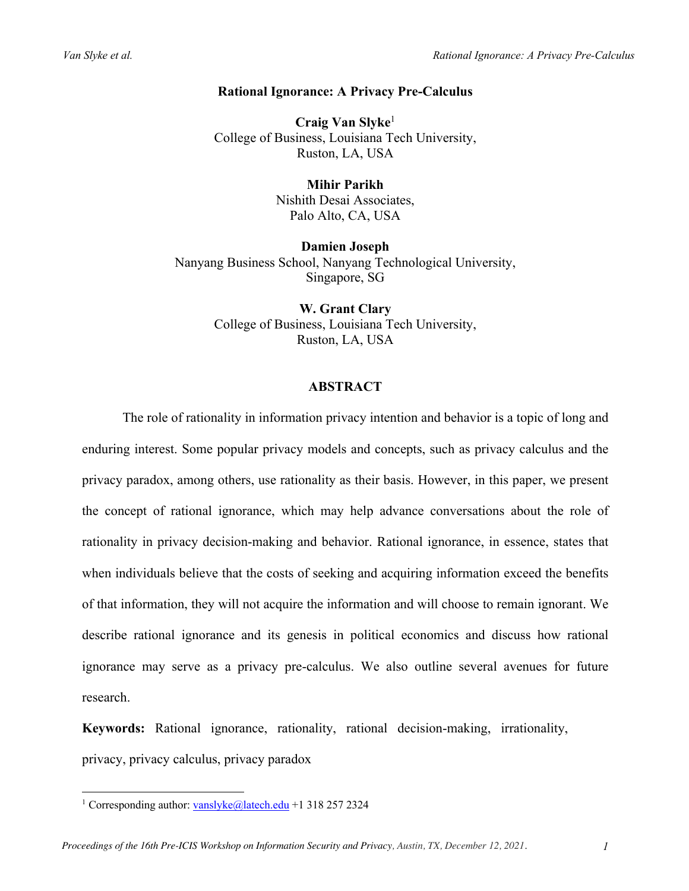# **Rational Ignorance: A Privacy Pre-Calculus**

**Craig Van Slyke**<sup>1</sup> College of Business, Louisiana Tech University, Ruston, LA, USA

> **Mihir Parikh** Nishith Desai Associates, Palo Alto, CA, USA

**Damien Joseph** Nanyang Business School, Nanyang Technological University, Singapore, SG

> **W. Grant Clary** College of Business, Louisiana Tech University, Ruston, LA, USA

#### **ABSTRACT**

The role of rationality in information privacy intention and behavior is a topic of long and enduring interest. Some popular privacy models and concepts, such as privacy calculus and the privacy paradox, among others, use rationality as their basis. However, in this paper, we present the concept of rational ignorance, which may help advance conversations about the role of rationality in privacy decision-making and behavior. Rational ignorance, in essence, states that when individuals believe that the costs of seeking and acquiring information exceed the benefits of that information, they will not acquire the information and will choose to remain ignorant. We describe rational ignorance and its genesis in political economics and discuss how rational ignorance may serve as a privacy pre-calculus. We also outline several avenues for future research.

**Keywords:** Rational ignorance, rationality, rational decision-making, irrationality, privacy, privacy calculus, privacy paradox

<sup>&</sup>lt;sup>1</sup> Corresponding author: vanslyke@latech.edu +1 318 257 2324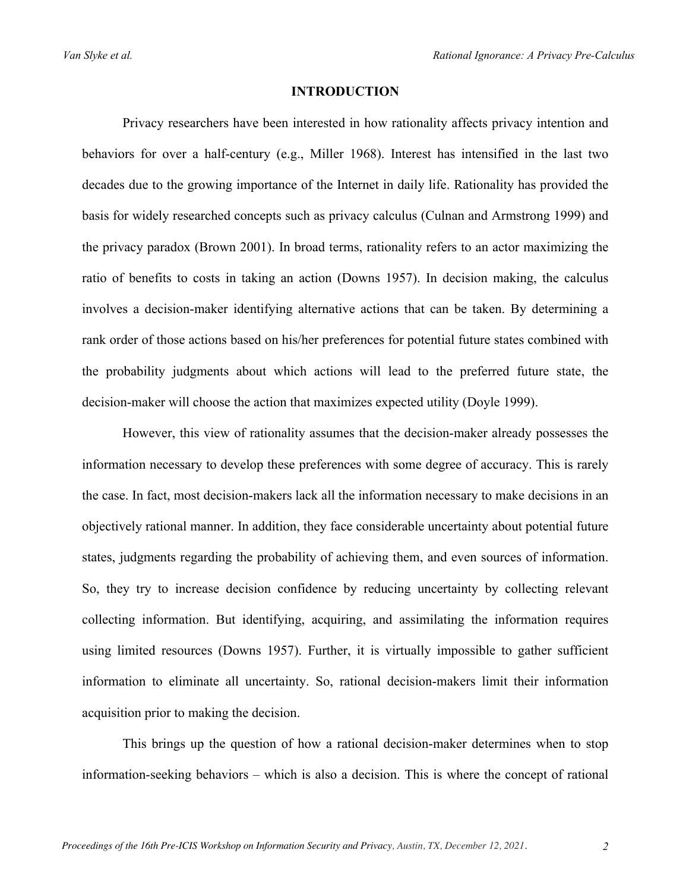#### **INTRODUCTION**

Privacy researchers have been interested in how rationality affects privacy intention and behaviors for over a half-century (e.g., Miller 1968). Interest has intensified in the last two decades due to the growing importance of the Internet in daily life. Rationality has provided the basis for widely researched concepts such as privacy calculus (Culnan and Armstrong 1999) and the privacy paradox (Brown 2001). In broad terms, rationality refers to an actor maximizing the ratio of benefits to costs in taking an action (Downs 1957). In decision making, the calculus involves a decision-maker identifying alternative actions that can be taken. By determining a rank order of those actions based on his/her preferences for potential future states combined with the probability judgments about which actions will lead to the preferred future state, the decision-maker will choose the action that maximizes expected utility (Doyle 1999).

However, this view of rationality assumes that the decision-maker already possesses the information necessary to develop these preferences with some degree of accuracy. This is rarely the case. In fact, most decision-makers lack all the information necessary to make decisions in an objectively rational manner. In addition, they face considerable uncertainty about potential future states, judgments regarding the probability of achieving them, and even sources of information. So, they try to increase decision confidence by reducing uncertainty by collecting relevant collecting information. But identifying, acquiring, and assimilating the information requires using limited resources (Downs 1957). Further, it is virtually impossible to gather sufficient information to eliminate all uncertainty. So, rational decision-makers limit their information acquisition prior to making the decision.

This brings up the question of how a rational decision-maker determines when to stop information-seeking behaviors – which is also a decision. This is where the concept of rational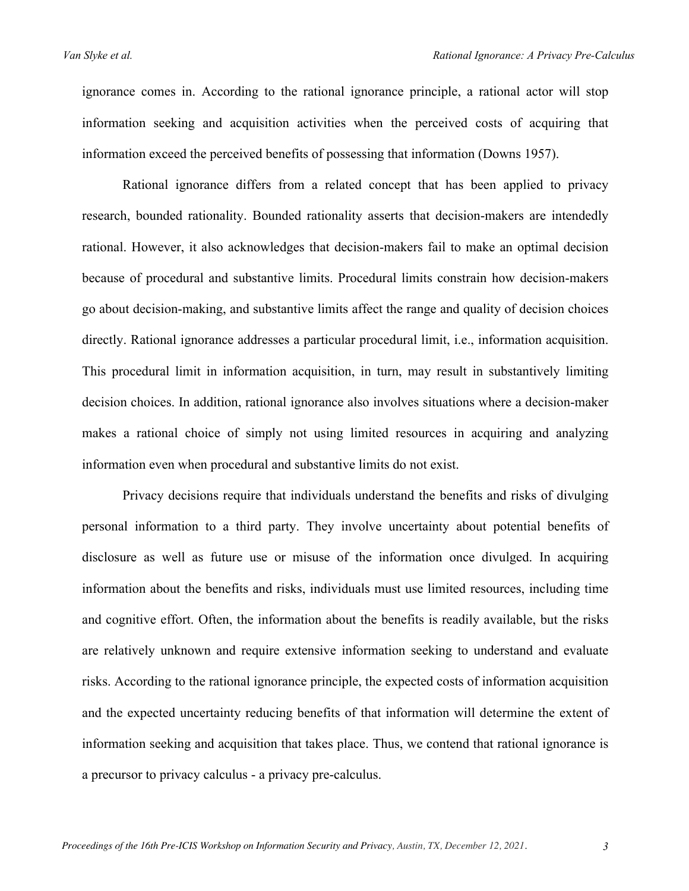ignorance comes in. According to the rational ignorance principle, a rational actor will stop information seeking and acquisition activities when the perceived costs of acquiring that information exceed the perceived benefits of possessing that information (Downs 1957).

Rational ignorance differs from a related concept that has been applied to privacy research, bounded rationality. Bounded rationality asserts that decision-makers are intendedly rational. However, it also acknowledges that decision-makers fail to make an optimal decision because of procedural and substantive limits. Procedural limits constrain how decision-makers go about decision-making, and substantive limits affect the range and quality of decision choices directly. Rational ignorance addresses a particular procedural limit, i.e., information acquisition. This procedural limit in information acquisition, in turn, may result in substantively limiting decision choices. In addition, rational ignorance also involves situations where a decision-maker makes a rational choice of simply not using limited resources in acquiring and analyzing information even when procedural and substantive limits do not exist.

Privacy decisions require that individuals understand the benefits and risks of divulging personal information to a third party. They involve uncertainty about potential benefits of disclosure as well as future use or misuse of the information once divulged. In acquiring information about the benefits and risks, individuals must use limited resources, including time and cognitive effort. Often, the information about the benefits is readily available, but the risks are relatively unknown and require extensive information seeking to understand and evaluate risks. According to the rational ignorance principle, the expected costs of information acquisition and the expected uncertainty reducing benefits of that information will determine the extent of information seeking and acquisition that takes place. Thus, we contend that rational ignorance is a precursor to privacy calculus - a privacy pre-calculus.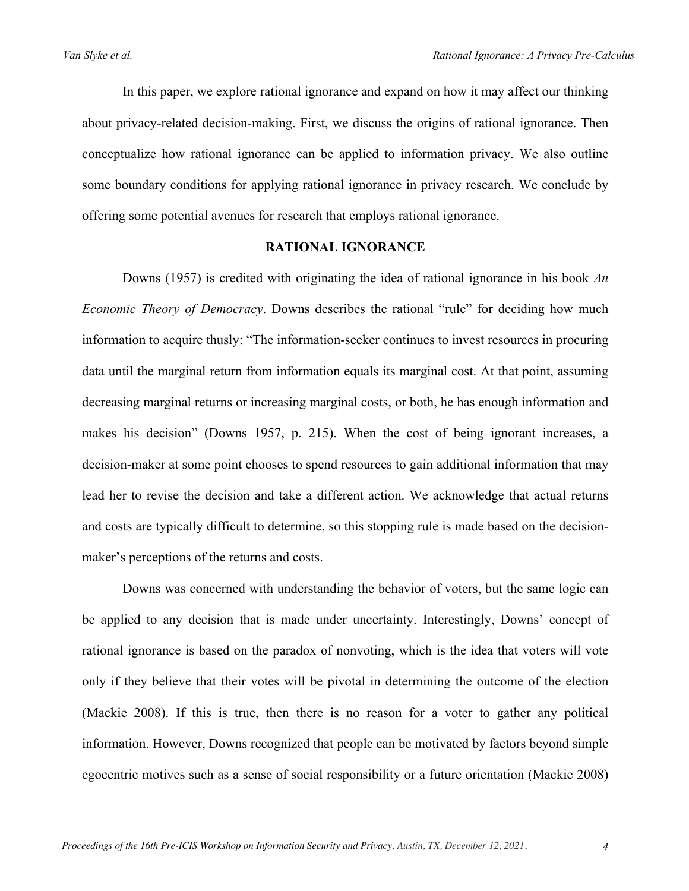In this paper, we explore rational ignorance and expand on how it may affect our thinking about privacy-related decision-making. First, we discuss the origins of rational ignorance. Then conceptualize how rational ignorance can be applied to information privacy. We also outline some boundary conditions for applying rational ignorance in privacy research. We conclude by offering some potential avenues for research that employs rational ignorance.

#### **RATIONAL IGNORANCE**

Downs (1957) is credited with originating the idea of rational ignorance in his book *An Economic Theory of Democracy*. Downs describes the rational "rule" for deciding how much information to acquire thusly: "The information-seeker continues to invest resources in procuring data until the marginal return from information equals its marginal cost. At that point, assuming decreasing marginal returns or increasing marginal costs, or both, he has enough information and makes his decision" (Downs 1957, p. 215). When the cost of being ignorant increases, a decision-maker at some point chooses to spend resources to gain additional information that may lead her to revise the decision and take a different action. We acknowledge that actual returns and costs are typically difficult to determine, so this stopping rule is made based on the decisionmaker's perceptions of the returns and costs.

Downs was concerned with understanding the behavior of voters, but the same logic can be applied to any decision that is made under uncertainty. Interestingly, Downs' concept of rational ignorance is based on the paradox of nonvoting, which is the idea that voters will vote only if they believe that their votes will be pivotal in determining the outcome of the election (Mackie 2008). If this is true, then there is no reason for a voter to gather any political information. However, Downs recognized that people can be motivated by factors beyond simple egocentric motives such as a sense of social responsibility or a future orientation (Mackie 2008)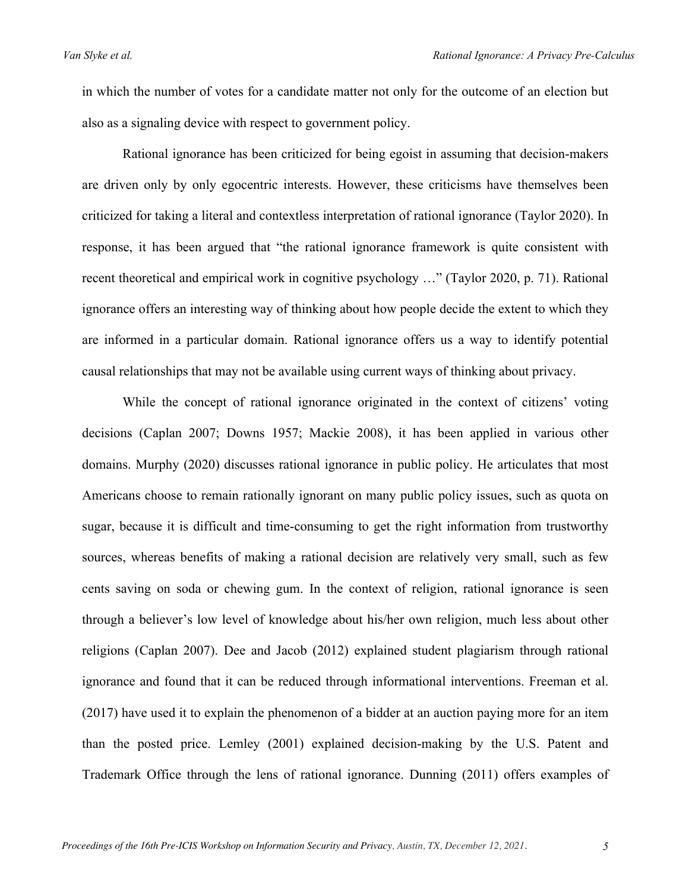in which the number of votes for a candidate matter not only for the outcome of an election but also as a signaling device with respect to government policy.

Rational ignorance has been criticized for being egoist in assuming that decision-makers are driven only by only egocentric interests. However, these criticisms have themselves been criticized for taking a literal and contextless interpretation of rational ignorance (Taylor 2020). In response, it has been argued that "the rational ignorance framework is quite consistent with recent theoretical and empirical work in cognitive psychology …" (Taylor 2020, p. 71). Rational ignorance offers an interesting way of thinking about how people decide the extent to which they are informed in a particular domain. Rational ignorance offers us a way to identify potential causal relationships that may not be available using current ways of thinking about privacy.

While the concept of rational ignorance originated in the context of citizens' voting decisions (Caplan 2007; Downs 1957; Mackie 2008), it has been applied in various other domains. Murphy (2020) discusses rational ignorance in public policy. He articulates that most Americans choose to remain rationally ignorant on many public policy issues, such as quota on sugar, because it is difficult and time-consuming to get the right information from trustworthy sources, whereas benefits of making a rational decision are relatively very small, such as few cents saving on soda or chewing gum. In the context of religion, rational ignorance is seen through a believer's low level of knowledge about his/her own religion, much less about other religions (Caplan 2007). Dee and Jacob (2012) explained student plagiarism through rational ignorance and found that it can be reduced through informational interventions. Freeman et al. (2017) have used it to explain the phenomenon of a bidder at an auction paying more for an item than the posted price. Lemley (2001) explained decision-making by the U.S. Patent and Trademark Office through the lens of rational ignorance. Dunning (2011) offers examples of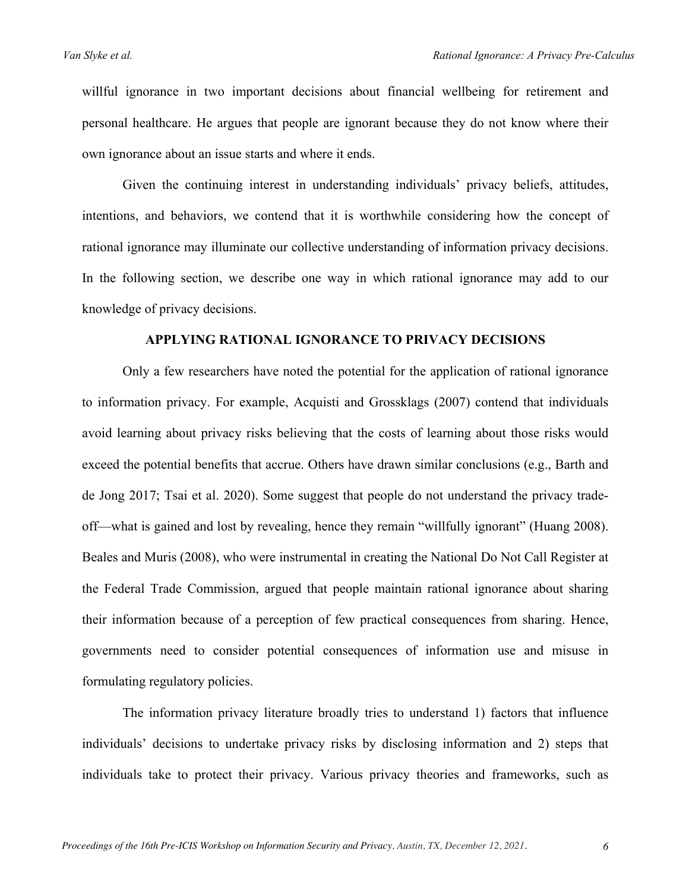willful ignorance in two important decisions about financial wellbeing for retirement and personal healthcare. He argues that people are ignorant because they do not know where their own ignorance about an issue starts and where it ends.

Given the continuing interest in understanding individuals' privacy beliefs, attitudes, intentions, and behaviors, we contend that it is worthwhile considering how the concept of rational ignorance may illuminate our collective understanding of information privacy decisions. In the following section, we describe one way in which rational ignorance may add to our knowledge of privacy decisions.

#### **APPLYING RATIONAL IGNORANCE TO PRIVACY DECISIONS**

Only a few researchers have noted the potential for the application of rational ignorance to information privacy. For example, Acquisti and Grossklags (2007) contend that individuals avoid learning about privacy risks believing that the costs of learning about those risks would exceed the potential benefits that accrue. Others have drawn similar conclusions (e.g., Barth and de Jong 2017; Tsai et al. 2020). Some suggest that people do not understand the privacy tradeoff—what is gained and lost by revealing, hence they remain "willfully ignorant" (Huang 2008). Beales and Muris (2008), who were instrumental in creating the National Do Not Call Register at the Federal Trade Commission, argued that people maintain rational ignorance about sharing their information because of a perception of few practical consequences from sharing. Hence, governments need to consider potential consequences of information use and misuse in formulating regulatory policies.

The information privacy literature broadly tries to understand 1) factors that influence individuals' decisions to undertake privacy risks by disclosing information and 2) steps that individuals take to protect their privacy. Various privacy theories and frameworks, such as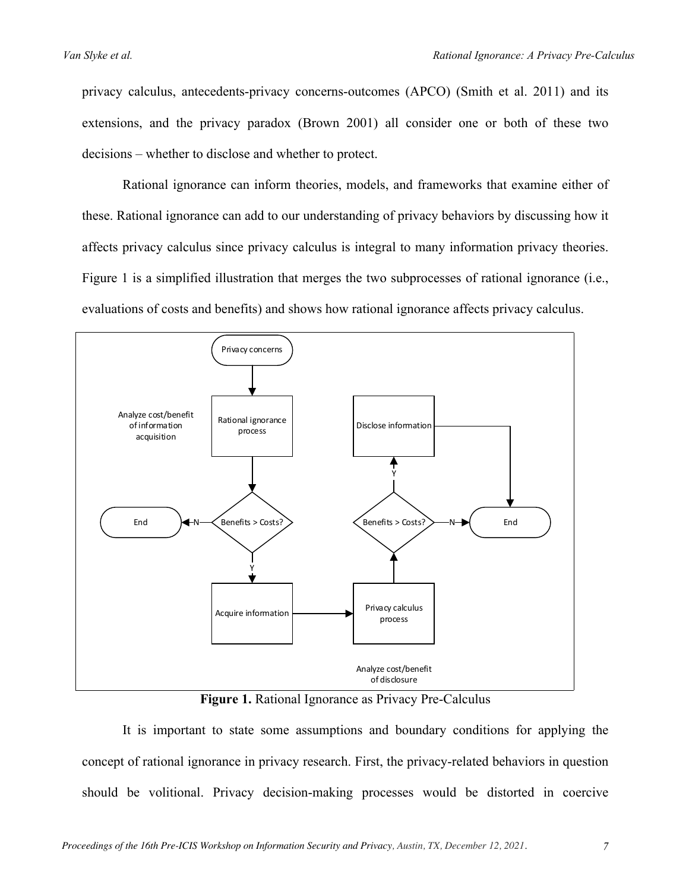privacy calculus, antecedents-privacy concerns-outcomes (APCO) (Smith et al. 2011) and its extensions, and the privacy paradox (Brown 2001) all consider one or both of these two decisions – whether to disclose and whether to protect.

Rational ignorance can inform theories, models, and frameworks that examine either of these. Rational ignorance can add to our understanding of privacy behaviors by discussing how it affects privacy calculus since privacy calculus is integral to many information privacy theories. Figure 1 is a simplified illustration that merges the two subprocesses of rational ignorance (i.e., evaluations of costs and benefits) and shows how rational ignorance affects privacy calculus.



**Figure 1.** Rational Ignorance as Privacy Pre-Calculus

It is important to state some assumptions and boundary conditions for applying the concept of rational ignorance in privacy research. First, the privacy-related behaviors in question should be volitional. Privacy decision-making processes would be distorted in coercive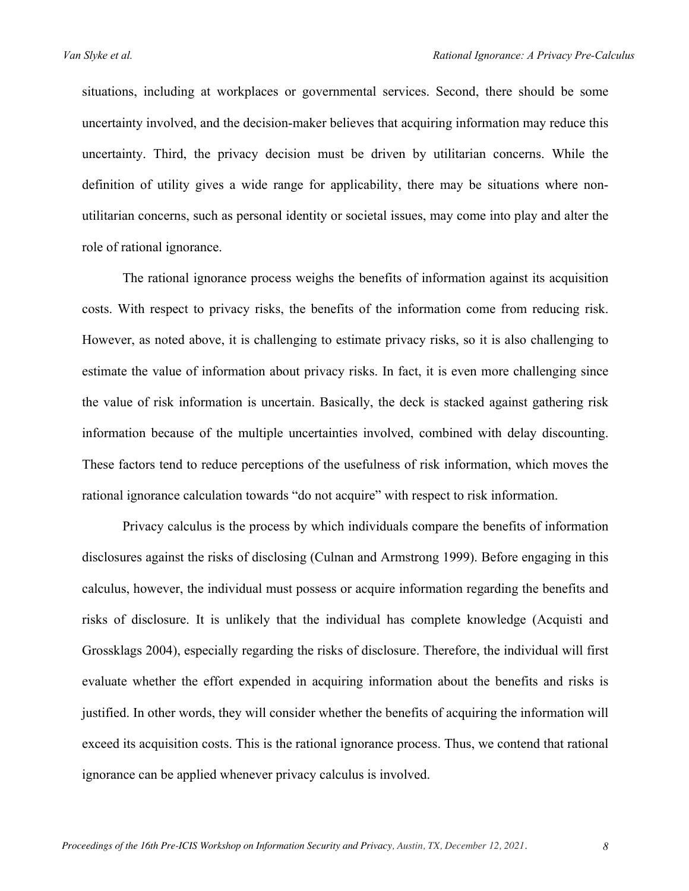situations, including at workplaces or governmental services. Second, there should be some uncertainty involved, and the decision-maker believes that acquiring information may reduce this uncertainty. Third, the privacy decision must be driven by utilitarian concerns. While the definition of utility gives a wide range for applicability, there may be situations where nonutilitarian concerns, such as personal identity or societal issues, may come into play and alter the role of rational ignorance.

The rational ignorance process weighs the benefits of information against its acquisition costs. With respect to privacy risks, the benefits of the information come from reducing risk. However, as noted above, it is challenging to estimate privacy risks, so it is also challenging to estimate the value of information about privacy risks. In fact, it is even more challenging since the value of risk information is uncertain. Basically, the deck is stacked against gathering risk information because of the multiple uncertainties involved, combined with delay discounting. These factors tend to reduce perceptions of the usefulness of risk information, which moves the rational ignorance calculation towards "do not acquire" with respect to risk information.

Privacy calculus is the process by which individuals compare the benefits of information disclosures against the risks of disclosing (Culnan and Armstrong 1999). Before engaging in this calculus, however, the individual must possess or acquire information regarding the benefits and risks of disclosure. It is unlikely that the individual has complete knowledge (Acquisti and Grossklags 2004), especially regarding the risks of disclosure. Therefore, the individual will first evaluate whether the effort expended in acquiring information about the benefits and risks is justified. In other words, they will consider whether the benefits of acquiring the information will exceed its acquisition costs. This is the rational ignorance process. Thus, we contend that rational ignorance can be applied whenever privacy calculus is involved.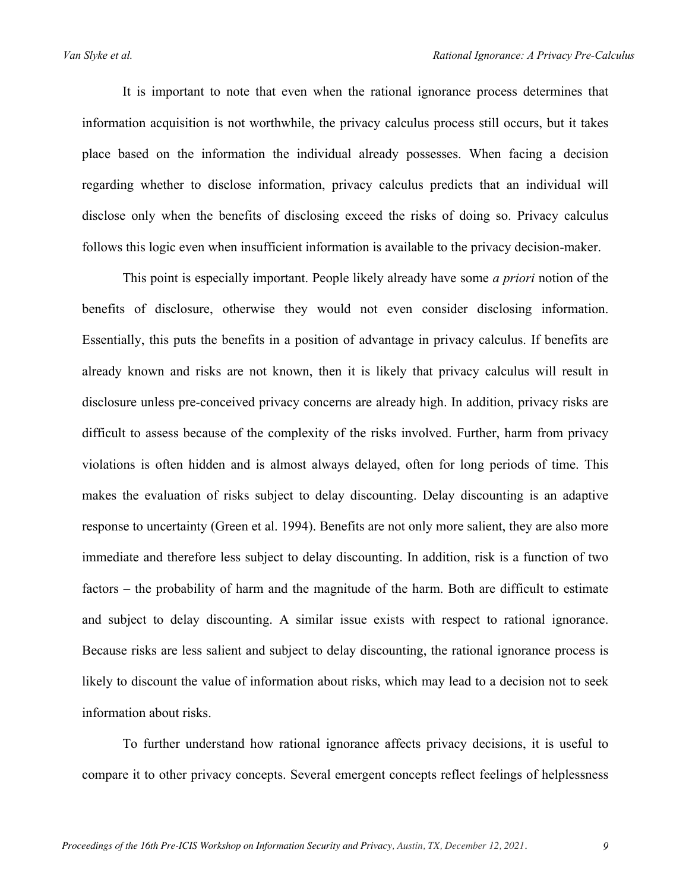It is important to note that even when the rational ignorance process determines that information acquisition is not worthwhile, the privacy calculus process still occurs, but it takes place based on the information the individual already possesses. When facing a decision regarding whether to disclose information, privacy calculus predicts that an individual will disclose only when the benefits of disclosing exceed the risks of doing so. Privacy calculus follows this logic even when insufficient information is available to the privacy decision-maker.

This point is especially important. People likely already have some *a priori* notion of the benefits of disclosure, otherwise they would not even consider disclosing information. Essentially, this puts the benefits in a position of advantage in privacy calculus. If benefits are already known and risks are not known, then it is likely that privacy calculus will result in disclosure unless pre-conceived privacy concerns are already high. In addition, privacy risks are difficult to assess because of the complexity of the risks involved. Further, harm from privacy violations is often hidden and is almost always delayed, often for long periods of time. This makes the evaluation of risks subject to delay discounting. Delay discounting is an adaptive response to uncertainty (Green et al. 1994). Benefits are not only more salient, they are also more immediate and therefore less subject to delay discounting. In addition, risk is a function of two factors – the probability of harm and the magnitude of the harm. Both are difficult to estimate and subject to delay discounting. A similar issue exists with respect to rational ignorance. Because risks are less salient and subject to delay discounting, the rational ignorance process is likely to discount the value of information about risks, which may lead to a decision not to seek information about risks.

To further understand how rational ignorance affects privacy decisions, it is useful to compare it to other privacy concepts. Several emergent concepts reflect feelings of helplessness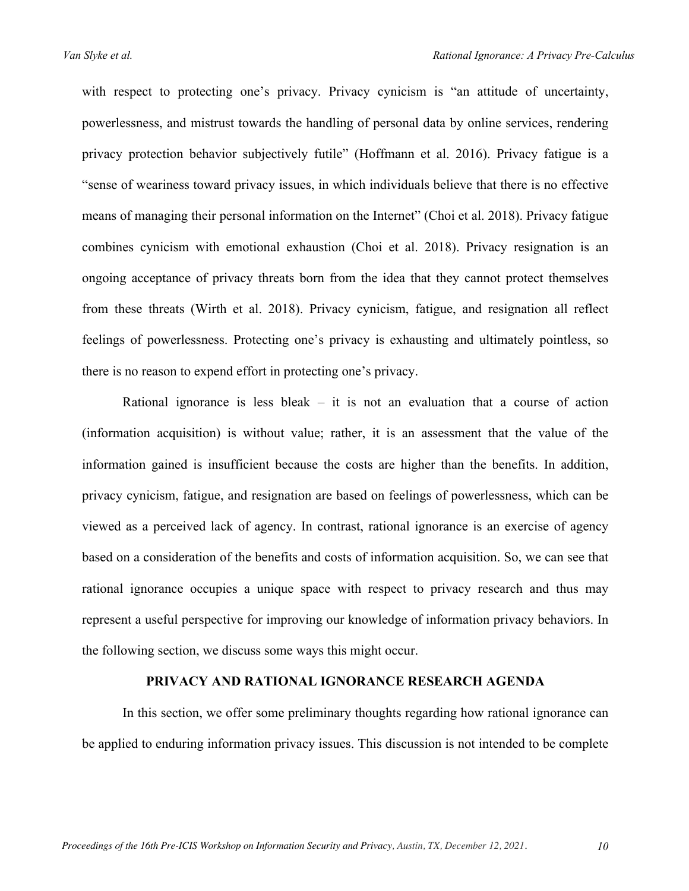with respect to protecting one's privacy. Privacy cynicism is "an attitude of uncertainty, powerlessness, and mistrust towards the handling of personal data by online services, rendering privacy protection behavior subjectively futile" (Hoffmann et al. 2016). Privacy fatigue is a "sense of weariness toward privacy issues, in which individuals believe that there is no effective means of managing their personal information on the Internet" (Choi et al. 2018). Privacy fatigue combines cynicism with emotional exhaustion (Choi et al. 2018). Privacy resignation is an ongoing acceptance of privacy threats born from the idea that they cannot protect themselves from these threats (Wirth et al. 2018). Privacy cynicism, fatigue, and resignation all reflect feelings of powerlessness. Protecting one's privacy is exhausting and ultimately pointless, so there is no reason to expend effort in protecting one's privacy.

Rational ignorance is less bleak  $-$  it is not an evaluation that a course of action (information acquisition) is without value; rather, it is an assessment that the value of the information gained is insufficient because the costs are higher than the benefits. In addition, privacy cynicism, fatigue, and resignation are based on feelings of powerlessness, which can be viewed as a perceived lack of agency. In contrast, rational ignorance is an exercise of agency based on a consideration of the benefits and costs of information acquisition. So, we can see that rational ignorance occupies a unique space with respect to privacy research and thus may represent a useful perspective for improving our knowledge of information privacy behaviors. In the following section, we discuss some ways this might occur.

### **PRIVACY AND RATIONAL IGNORANCE RESEARCH AGENDA**

In this section, we offer some preliminary thoughts regarding how rational ignorance can be applied to enduring information privacy issues. This discussion is not intended to be complete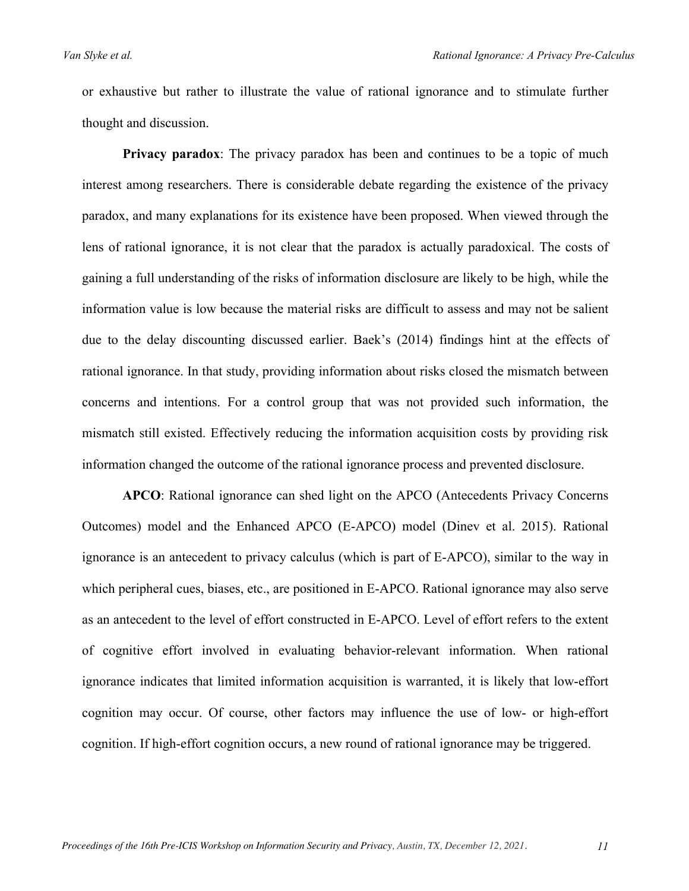or exhaustive but rather to illustrate the value of rational ignorance and to stimulate further thought and discussion.

**Privacy paradox**: The privacy paradox has been and continues to be a topic of much interest among researchers. There is considerable debate regarding the existence of the privacy paradox, and many explanations for its existence have been proposed. When viewed through the lens of rational ignorance, it is not clear that the paradox is actually paradoxical. The costs of gaining a full understanding of the risks of information disclosure are likely to be high, while the information value is low because the material risks are difficult to assess and may not be salient due to the delay discounting discussed earlier. Baek's (2014) findings hint at the effects of rational ignorance. In that study, providing information about risks closed the mismatch between concerns and intentions. For a control group that was not provided such information, the mismatch still existed. Effectively reducing the information acquisition costs by providing risk information changed the outcome of the rational ignorance process and prevented disclosure.

**APCO**: Rational ignorance can shed light on the APCO (Antecedents Privacy Concerns Outcomes) model and the Enhanced APCO (E-APCO) model (Dinev et al. 2015). Rational ignorance is an antecedent to privacy calculus (which is part of E-APCO), similar to the way in which peripheral cues, biases, etc., are positioned in E-APCO. Rational ignorance may also serve as an antecedent to the level of effort constructed in E-APCO. Level of effort refers to the extent of cognitive effort involved in evaluating behavior-relevant information. When rational ignorance indicates that limited information acquisition is warranted, it is likely that low-effort cognition may occur. Of course, other factors may influence the use of low- or high-effort cognition. If high-effort cognition occurs, a new round of rational ignorance may be triggered.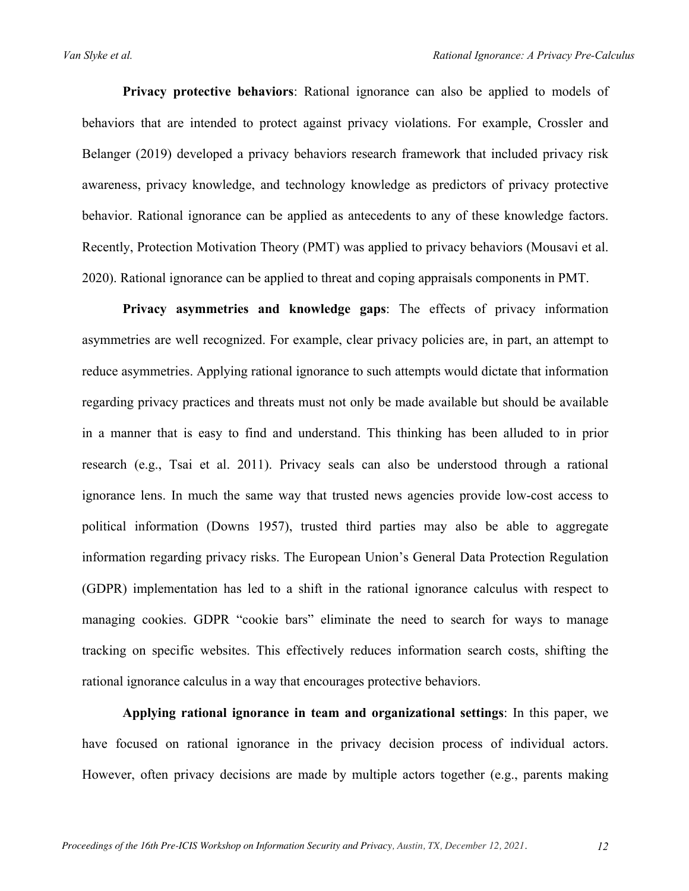**Privacy protective behaviors**: Rational ignorance can also be applied to models of behaviors that are intended to protect against privacy violations. For example, Crossler and Belanger (2019) developed a privacy behaviors research framework that included privacy risk awareness, privacy knowledge, and technology knowledge as predictors of privacy protective behavior. Rational ignorance can be applied as antecedents to any of these knowledge factors. Recently, Protection Motivation Theory (PMT) was applied to privacy behaviors (Mousavi et al. 2020). Rational ignorance can be applied to threat and coping appraisals components in PMT.

**Privacy asymmetries and knowledge gaps**: The effects of privacy information asymmetries are well recognized. For example, clear privacy policies are, in part, an attempt to reduce asymmetries. Applying rational ignorance to such attempts would dictate that information regarding privacy practices and threats must not only be made available but should be available in a manner that is easy to find and understand. This thinking has been alluded to in prior research (e.g., Tsai et al. 2011). Privacy seals can also be understood through a rational ignorance lens. In much the same way that trusted news agencies provide low-cost access to political information (Downs 1957), trusted third parties may also be able to aggregate information regarding privacy risks. The European Union's General Data Protection Regulation (GDPR) implementation has led to a shift in the rational ignorance calculus with respect to managing cookies. GDPR "cookie bars" eliminate the need to search for ways to manage tracking on specific websites. This effectively reduces information search costs, shifting the rational ignorance calculus in a way that encourages protective behaviors.

**Applying rational ignorance in team and organizational settings**: In this paper, we have focused on rational ignorance in the privacy decision process of individual actors. However, often privacy decisions are made by multiple actors together (e.g., parents making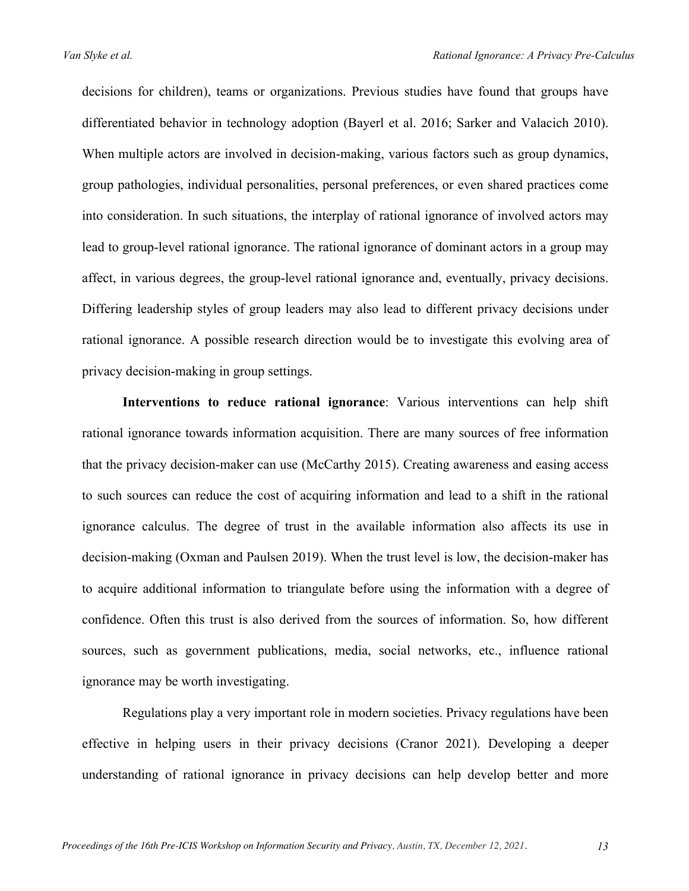decisions for children), teams or organizations. Previous studies have found that groups have differentiated behavior in technology adoption (Bayerl et al. 2016; Sarker and Valacich 2010). When multiple actors are involved in decision-making, various factors such as group dynamics, group pathologies, individual personalities, personal preferences, or even shared practices come into consideration. In such situations, the interplay of rational ignorance of involved actors may lead to group-level rational ignorance. The rational ignorance of dominant actors in a group may affect, in various degrees, the group-level rational ignorance and, eventually, privacy decisions. Differing leadership styles of group leaders may also lead to different privacy decisions under rational ignorance. A possible research direction would be to investigate this evolving area of privacy decision-making in group settings.

**Interventions to reduce rational ignorance**: Various interventions can help shift rational ignorance towards information acquisition. There are many sources of free information that the privacy decision-maker can use (McCarthy 2015). Creating awareness and easing access to such sources can reduce the cost of acquiring information and lead to a shift in the rational ignorance calculus. The degree of trust in the available information also affects its use in decision-making (Oxman and Paulsen 2019). When the trust level is low, the decision-maker has to acquire additional information to triangulate before using the information with a degree of confidence. Often this trust is also derived from the sources of information. So, how different sources, such as government publications, media, social networks, etc., influence rational ignorance may be worth investigating.

Regulations play a very important role in modern societies. Privacy regulations have been effective in helping users in their privacy decisions (Cranor 2021). Developing a deeper understanding of rational ignorance in privacy decisions can help develop better and more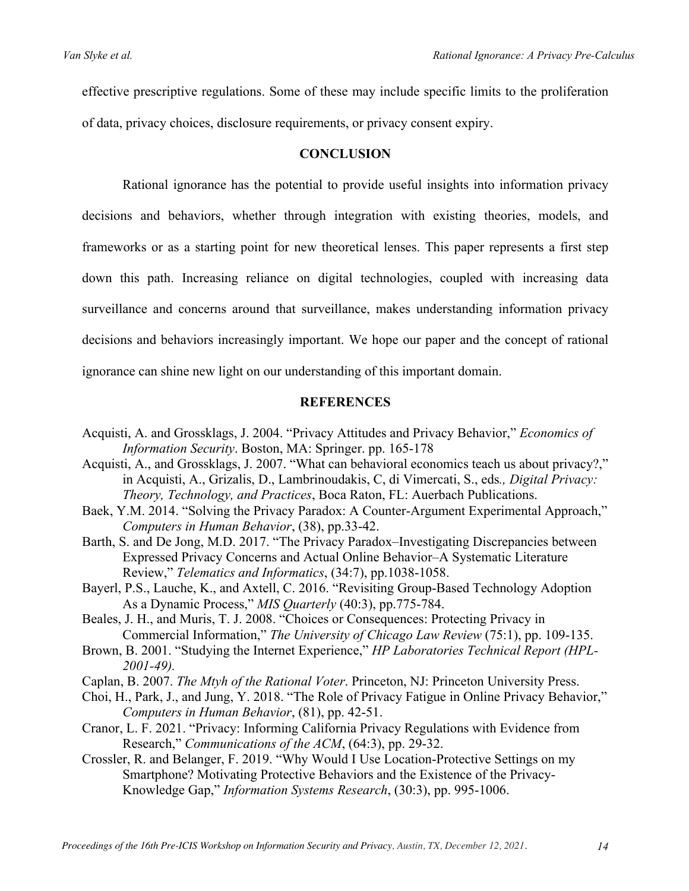effective prescriptive regulations. Some of these may include specific limits to the proliferation of data, privacy choices, disclosure requirements, or privacy consent expiry.

#### **CONCLUSION**

Rational ignorance has the potential to provide useful insights into information privacy decisions and behaviors, whether through integration with existing theories, models, and frameworks or as a starting point for new theoretical lenses. This paper represents a first step down this path. Increasing reliance on digital technologies, coupled with increasing data surveillance and concerns around that surveillance, makes understanding information privacy decisions and behaviors increasingly important. We hope our paper and the concept of rational ignorance can shine new light on our understanding of this important domain.

# **REFERENCES**

- Acquisti, A. and Grossklags, J. 2004. "Privacy Attitudes and Privacy Behavior," *Economics of Information Security*. Boston, MA: Springer. pp. 165-178
- Acquisti, A., and Grossklags, J. 2007. "What can behavioral economics teach us about privacy?," in Acquisti, A., Grizalis, D., Lambrinoudakis, C, di Vimercati, S., eds*., Digital Privacy: Theory, Technology, and Practices*, Boca Raton, FL: Auerbach Publications.
- Baek, Y.M. 2014. "Solving the Privacy Paradox: A Counter-Argument Experimental Approach," *Computers in Human Behavior*, (38), pp.33-42.
- Barth, S. and De Jong, M.D. 2017. "The Privacy Paradox–Investigating Discrepancies between Expressed Privacy Concerns and Actual Online Behavior–A Systematic Literature Review," *Telematics and Informatics*, (34:7), pp.1038-1058.
- Bayerl, P.S., Lauche, K., and Axtell, C. 2016. "Revisiting Group-Based Technology Adoption As a Dynamic Process," *MIS Quarterly* (40:3), pp.775-784.

Beales, J. H., and Muris, T. J. 2008. "Choices or Consequences: Protecting Privacy in Commercial Information," *The University of Chicago Law Review* (75:1), pp. 109-135.

- Brown, B. 2001. "Studying the Internet Experience," *HP Laboratories Technical Report (HPL-2001-49).*
- Caplan, B. 2007. *The Mtyh of the Rational Voter*. Princeton, NJ: Princeton University Press.
- Choi, H., Park, J., and Jung, Y. 2018. "The Role of Privacy Fatigue in Online Privacy Behavior," *Computers in Human Behavior*, (81), pp. 42-51.
- Cranor, L. F. 2021. "Privacy: Informing California Privacy Regulations with Evidence from Research," *Communications of the ACM*, (64:3), pp. 29-32.
- Crossler, R. and Belanger, F. 2019. "Why Would I Use Location-Protective Settings on my Smartphone? Motivating Protective Behaviors and the Existence of the Privacy-Knowledge Gap," *Information Systems Research*, (30:3), pp. 995-1006.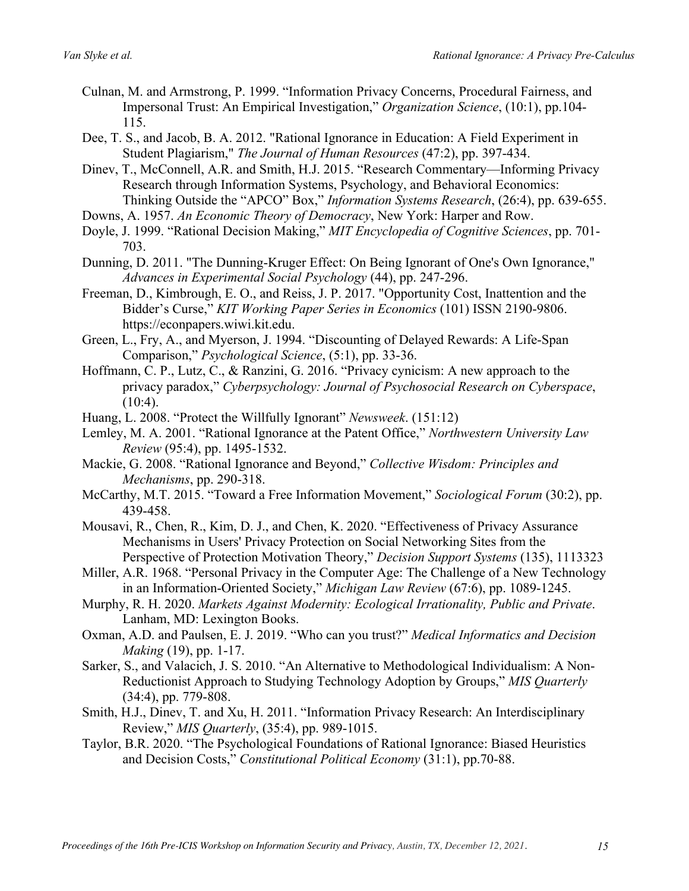- Culnan, M. and Armstrong, P. 1999. "Information Privacy Concerns, Procedural Fairness, and Impersonal Trust: An Empirical Investigation," *Organization Science*, (10:1), pp.104- 115.
- Dee, T. S., and Jacob, B. A. 2012. "Rational Ignorance in Education: A Field Experiment in Student Plagiarism," *The Journal of Human Resources* (47:2), pp. 397-434.
- Dinev, T., McConnell, A.R. and Smith, H.J. 2015. "Research Commentary—Informing Privacy Research through Information Systems, Psychology, and Behavioral Economics: Thinking Outside the "APCO" Box," *Information Systems Research*, (26:4), pp. 639-655.
- Downs, A. 1957. *An Economic Theory of Democracy*, New York: Harper and Row.
- Doyle, J. 1999. "Rational Decision Making," *MIT Encyclopedia of Cognitive Sciences*, pp. 701- 703.
- Dunning, D. 2011. "The Dunning-Kruger Effect: On Being Ignorant of One's Own Ignorance," *Advances in Experimental Social Psychology* (44), pp. 247-296.
- Freeman, D., Kimbrough, E. O., and Reiss, J. P. 2017. "Opportunity Cost, Inattention and the Bidder's Curse," *KIT Working Paper Series in Economics* (101) ISSN 2190-9806. https://econpapers.wiwi.kit.edu.
- Green, L., Fry, A., and Myerson, J. 1994. "Discounting of Delayed Rewards: A Life-Span Comparison," *Psychological Science*, (5:1), pp. 33-36.
- Hoffmann, C. P., Lutz, C., & Ranzini, G. 2016. "Privacy cynicism: A new approach to the privacy paradox," *Cyberpsychology: Journal of Psychosocial Research on Cyberspace*,  $(10:4)$ .
- Huang, L. 2008. "Protect the Willfully Ignorant" *Newsweek*. (151:12)
- Lemley, M. A. 2001. "Rational Ignorance at the Patent Office," *Northwestern University Law Review* (95:4), pp. 1495-1532.
- Mackie, G. 2008. "Rational Ignorance and Beyond," *Collective Wisdom: Principles and Mechanisms*, pp. 290-318.
- McCarthy, M.T. 2015. "Toward a Free Information Movement," *Sociological Forum* (30:2), pp. 439-458.
- Mousavi, R., Chen, R., Kim, D. J., and Chen, K. 2020. "Effectiveness of Privacy Assurance Mechanisms in Users' Privacy Protection on Social Networking Sites from the Perspective of Protection Motivation Theory," *Decision Support Systems* (135), 1113323
- Miller, A.R. 1968. "Personal Privacy in the Computer Age: The Challenge of a New Technology in an Information-Oriented Society," *Michigan Law Review* (67:6), pp. 1089-1245.
- Murphy, R. H. 2020. *Markets Against Modernity: Ecological Irrationality, Public and Private*. Lanham, MD: Lexington Books.
- Oxman, A.D. and Paulsen, E. J. 2019. "Who can you trust?" *Medical Informatics and Decision Making* (19), pp. 1-17.
- Sarker, S., and Valacich, J. S. 2010. "An Alternative to Methodological Individualism: A Non-Reductionist Approach to Studying Technology Adoption by Groups," *MIS Quarterly* (34:4), pp. 779-808.
- Smith, H.J., Dinev, T. and Xu, H. 2011. "Information Privacy Research: An Interdisciplinary Review," *MIS Quarterly*, (35:4), pp. 989-1015.
- Taylor, B.R. 2020. "The Psychological Foundations of Rational Ignorance: Biased Heuristics and Decision Costs," *Constitutional Political Economy* (31:1), pp.70-88.